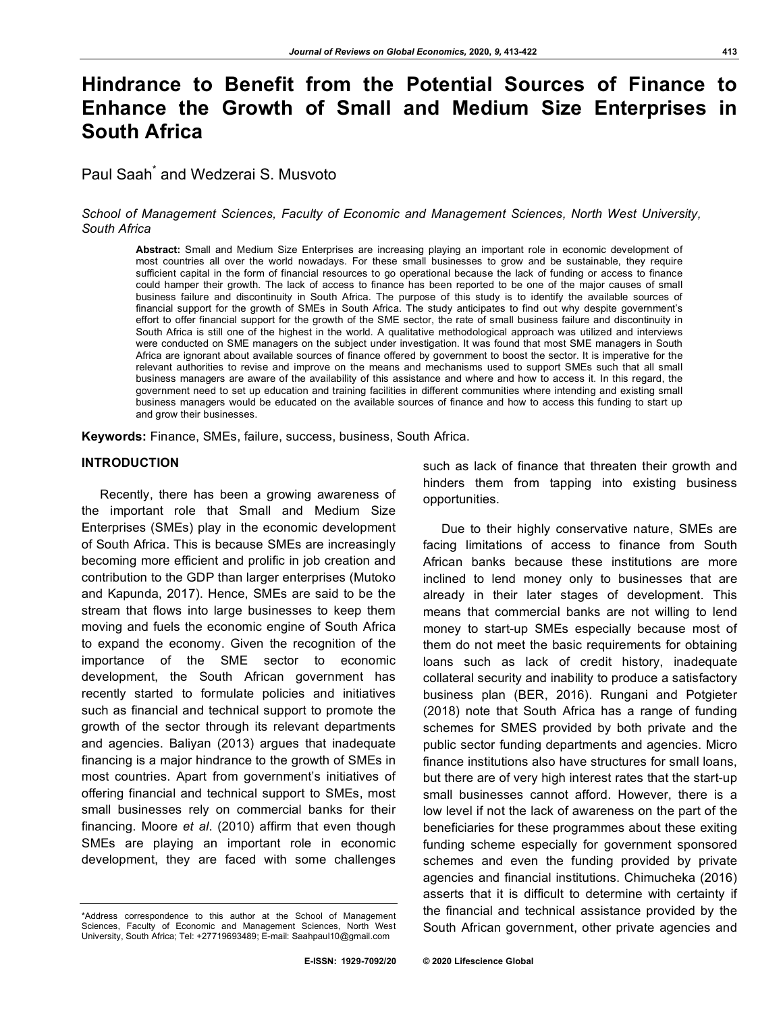# **Hindrance to Benefit from the Potential Sources of Finance to Enhance the Growth of Small and Medium Size Enterprises in South Africa**

Paul Saah<sup>\*</sup> and Wedzerai S. Musvoto

## *School of Management Sciences, Faculty of Economic and Management Sciences, North West University, South Africa*

**Abstract:** Small and Medium Size Enterprises are increasing playing an important role in economic development of most countries all over the world nowadays. For these small businesses to grow and be sustainable, they require sufficient capital in the form of financial resources to go operational because the lack of funding or access to finance could hamper their growth. The lack of access to finance has been reported to be one of the major causes of small business failure and discontinuity in South Africa. The purpose of this study is to identify the available sources of financial support for the growth of SMEs in South Africa. The study anticipates to find out why despite government's effort to offer financial support for the growth of the SME sector, the rate of small business failure and discontinuity in South Africa is still one of the highest in the world. A qualitative methodological approach was utilized and interviews were conducted on SME managers on the subject under investigation. It was found that most SME managers in South Africa are ignorant about available sources of finance offered by government to boost the sector. It is imperative for the relevant authorities to revise and improve on the means and mechanisms used to support SMEs such that all small business managers are aware of the availability of this assistance and where and how to access it. In this regard, the government need to set up education and training facilities in different communities where intending and existing small business managers would be educated on the available sources of finance and how to access this funding to start up and grow their businesses.

**Keywords:** Finance, SMEs, failure, success, business, South Africa.

#### **INTRODUCTION**

Recently, there has been a growing awareness of the important role that Small and Medium Size Enterprises (SMEs) play in the economic development of South Africa. This is because SMEs are increasingly becoming more efficient and prolific in job creation and contribution to the GDP than larger enterprises (Mutoko and Kapunda, 2017). Hence, SMEs are said to be the stream that flows into large businesses to keep them moving and fuels the economic engine of South Africa to expand the economy. Given the recognition of the importance of the SME sector to economic development, the South African government has recently started to formulate policies and initiatives such as financial and technical support to promote the growth of the sector through its relevant departments and agencies. Baliyan (2013) argues that inadequate financing is a major hindrance to the growth of SMEs in most countries. Apart from government's initiatives of offering financial and technical support to SMEs, most small businesses rely on commercial banks for their financing. Moore *et al*. (2010) affirm that even though SMEs are playing an important role in economic development, they are faced with some challenges

such as lack of finance that threaten their growth and hinders them from tapping into existing business opportunities.

Due to their highly conservative nature, SMEs are facing limitations of access to finance from South African banks because these institutions are more inclined to lend money only to businesses that are already in their later stages of development. This means that commercial banks are not willing to lend money to start-up SMEs especially because most of them do not meet the basic requirements for obtaining loans such as lack of credit history, inadequate collateral security and inability to produce a satisfactory business plan (BER, 2016). Rungani and Potgieter (2018) note that South Africa has a range of funding schemes for SMES provided by both private and the public sector funding departments and agencies. Micro finance institutions also have structures for small loans, but there are of very high interest rates that the start-up small businesses cannot afford. However, there is a low level if not the lack of awareness on the part of the beneficiaries for these programmes about these exiting funding scheme especially for government sponsored schemes and even the funding provided by private agencies and financial institutions. Chimucheka (2016) asserts that it is difficult to determine with certainty if the financial and technical assistance provided by the South African government, other private agencies and

<sup>\*</sup>Address correspondence to this author at the School of Management Sciences, Faculty of Economic and Management Sciences, North West University, South Africa; Tel: +27719693489; E-mail: Saahpaul10@gmail.com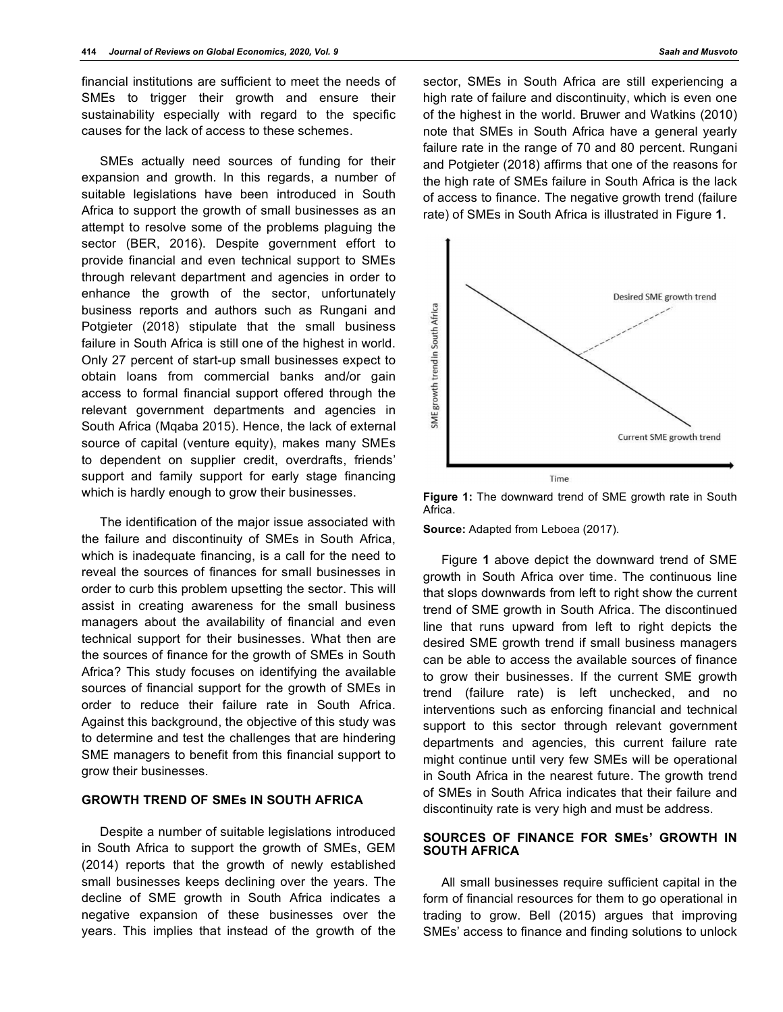financial institutions are sufficient to meet the needs of SMEs to trigger their growth and ensure their sustainability especially with regard to the specific causes for the lack of access to these schemes.

SMEs actually need sources of funding for their expansion and growth. In this regards, a number of suitable legislations have been introduced in South Africa to support the growth of small businesses as an attempt to resolve some of the problems plaguing the sector (BER, 2016). Despite government effort to provide financial and even technical support to SMEs through relevant department and agencies in order to enhance the growth of the sector, unfortunately business reports and authors such as Rungani and Potgieter (2018) stipulate that the small business failure in South Africa is still one of the highest in world. Only 27 percent of start-up small businesses expect to obtain loans from commercial banks and/or gain access to formal financial support offered through the relevant government departments and agencies in South Africa (Mqaba 2015). Hence, the lack of external source of capital (venture equity), makes many SMEs to dependent on supplier credit, overdrafts, friends' support and family support for early stage financing which is hardly enough to grow their businesses.

The identification of the major issue associated with the failure and discontinuity of SMEs in South Africa, which is inadequate financing, is a call for the need to reveal the sources of finances for small businesses in order to curb this problem upsetting the sector. This will assist in creating awareness for the small business managers about the availability of financial and even technical support for their businesses. What then are the sources of finance for the growth of SMEs in South Africa? This study focuses on identifying the available sources of financial support for the growth of SMEs in order to reduce their failure rate in South Africa. Against this background, the objective of this study was to determine and test the challenges that are hindering SME managers to benefit from this financial support to grow their businesses.

# **GROWTH TREND OF SMEs IN SOUTH AFRICA**

Despite a number of suitable legislations introduced in South Africa to support the growth of SMEs, GEM (2014) reports that the growth of newly established small businesses keeps declining over the years. The decline of SME growth in South Africa indicates a negative expansion of these businesses over the years. This implies that instead of the growth of the

sector, SMEs in South Africa are still experiencing a high rate of failure and discontinuity, which is even one of the highest in the world. Bruwer and Watkins (2010) note that SMEs in South Africa have a general yearly failure rate in the range of 70 and 80 percent. Rungani and Potgieter (2018) affirms that one of the reasons for the high rate of SMEs failure in South Africa is the lack of access to finance. The negative growth trend (failure rate) of SMEs in South Africa is illustrated in Figure **1**.



**Figure 1:** The downward trend of SME growth rate in South Africa.

**Source:** Adapted from Leboea (2017).

Figure **1** above depict the downward trend of SME growth in South Africa over time. The continuous line that slops downwards from left to right show the current trend of SME growth in South Africa. The discontinued line that runs upward from left to right depicts the desired SME growth trend if small business managers can be able to access the available sources of finance to grow their businesses. If the current SME growth trend (failure rate) is left unchecked, and no interventions such as enforcing financial and technical support to this sector through relevant government departments and agencies, this current failure rate might continue until very few SMEs will be operational in South Africa in the nearest future. The growth trend of SMEs in South Africa indicates that their failure and discontinuity rate is very high and must be address.

### **SOURCES OF FINANCE FOR SMEs' GROWTH IN SOUTH AFRICA**

All small businesses require sufficient capital in the form of financial resources for them to go operational in trading to grow. Bell (2015) argues that improving SMEs' access to finance and finding solutions to unlock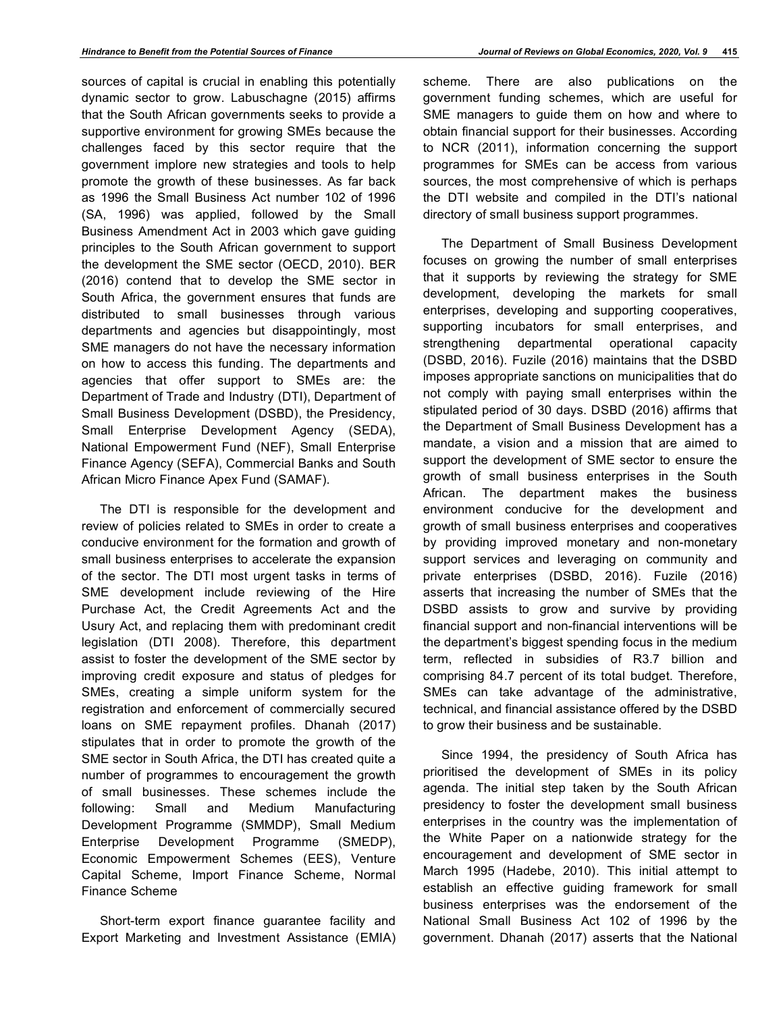sources of capital is crucial in enabling this potentially dynamic sector to grow. Labuschagne (2015) affirms that the South African governments seeks to provide a supportive environment for growing SMEs because the challenges faced by this sector require that the government implore new strategies and tools to help promote the growth of these businesses. As far back as 1996 the Small Business Act number 102 of 1996 (SA, 1996) was applied, followed by the Small Business Amendment Act in 2003 which gave guiding principles to the South African government to support the development the SME sector (OECD, 2010). BER (2016) contend that to develop the SME sector in South Africa, the government ensures that funds are distributed to small businesses through various departments and agencies but disappointingly, most SME managers do not have the necessary information on how to access this funding. The departments and agencies that offer support to SMEs are: the Department of Trade and Industry (DTI), Department of Small Business Development (DSBD), the Presidency, Small Enterprise Development Agency (SEDA), National Empowerment Fund (NEF), Small Enterprise Finance Agency (SEFA), Commercial Banks and South African Micro Finance Apex Fund (SAMAF).

The DTI is responsible for the development and review of policies related to SMEs in order to create a conducive environment for the formation and growth of small business enterprises to accelerate the expansion of the sector. The DTI most urgent tasks in terms of SME development include reviewing of the Hire Purchase Act, the Credit Agreements Act and the Usury Act, and replacing them with predominant credit legislation (DTI 2008). Therefore, this department assist to foster the development of the SME sector by improving credit exposure and status of pledges for SMEs, creating a simple uniform system for the registration and enforcement of commercially secured loans on SME repayment profiles. Dhanah (2017) stipulates that in order to promote the growth of the SME sector in South Africa, the DTI has created quite a number of programmes to encouragement the growth of small businesses. These schemes include the following: Small and Medium Manufacturing Development Programme (SMMDP), Small Medium Enterprise Development Programme (SMEDP), Economic Empowerment Schemes (EES), Venture Capital Scheme, Import Finance Scheme, Normal Finance Scheme

Short-term export finance guarantee facility and Export Marketing and Investment Assistance (EMIA) scheme. There are also publications on the government funding schemes, which are useful for SME managers to guide them on how and where to obtain financial support for their businesses. According to NCR (2011), information concerning the support programmes for SMEs can be access from various sources, the most comprehensive of which is perhaps the DTI website and compiled in the DTI's national directory of small business support programmes.

The Department of Small Business Development focuses on growing the number of small enterprises that it supports by reviewing the strategy for SME development, developing the markets for small enterprises, developing and supporting cooperatives, supporting incubators for small enterprises, and strengthening departmental operational capacity (DSBD, 2016). Fuzile (2016) maintains that the DSBD imposes appropriate sanctions on municipalities that do not comply with paying small enterprises within the stipulated period of 30 days. DSBD (2016) affirms that the Department of Small Business Development has a mandate, a vision and a mission that are aimed to support the development of SME sector to ensure the growth of small business enterprises in the South African. The department makes the business environment conducive for the development and growth of small business enterprises and cooperatives by providing improved monetary and non-monetary support services and leveraging on community and private enterprises (DSBD, 2016). Fuzile (2016) asserts that increasing the number of SMEs that the DSBD assists to grow and survive by providing financial support and non-financial interventions will be the department's biggest spending focus in the medium term, reflected in subsidies of R3.7 billion and comprising 84.7 percent of its total budget. Therefore, SMEs can take advantage of the administrative, technical, and financial assistance offered by the DSBD to grow their business and be sustainable.

Since 1994, the presidency of South Africa has prioritised the development of SMEs in its policy agenda. The initial step taken by the South African presidency to foster the development small business enterprises in the country was the implementation of the White Paper on a nationwide strategy for the encouragement and development of SME sector in March 1995 (Hadebe, 2010). This initial attempt to establish an effective guiding framework for small business enterprises was the endorsement of the National Small Business Act 102 of 1996 by the government. Dhanah (2017) asserts that the National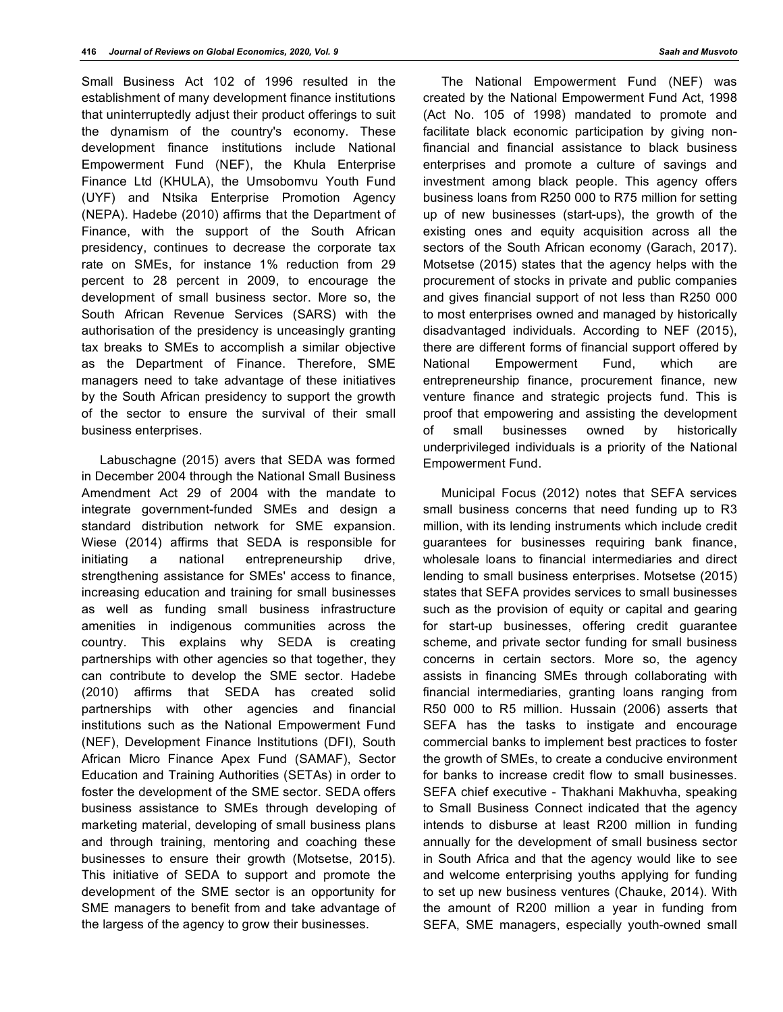Small Business Act 102 of 1996 resulted in the establishment of many development finance institutions that uninterruptedly adjust their product offerings to suit the dynamism of the country's economy. These development finance institutions include National Empowerment Fund (NEF), the Khula Enterprise Finance Ltd (KHULA), the Umsobomvu Youth Fund (UYF) and Ntsika Enterprise Promotion Agency (NEPA). Hadebe (2010) affirms that the Department of Finance, with the support of the South African presidency, continues to decrease the corporate tax rate on SMEs, for instance 1% reduction from 29 percent to 28 percent in 2009, to encourage the development of small business sector. More so, the South African Revenue Services (SARS) with the authorisation of the presidency is unceasingly granting tax breaks to SMEs to accomplish a similar objective as the Department of Finance. Therefore, SME managers need to take advantage of these initiatives by the South African presidency to support the growth of the sector to ensure the survival of their small business enterprises.

Labuschagne (2015) avers that SEDA was formed in December 2004 through the National Small Business Amendment Act 29 of 2004 with the mandate to integrate government-funded SMEs and design a standard distribution network for SME expansion. Wiese (2014) affirms that SEDA is responsible for initiating a national entrepreneurship drive, strengthening assistance for SMEs' access to finance, increasing education and training for small businesses as well as funding small business infrastructure amenities in indigenous communities across the country. This explains why SEDA is creating partnerships with other agencies so that together, they can contribute to develop the SME sector. Hadebe (2010) affirms that SEDA has created solid partnerships with other agencies and financial institutions such as the National Empowerment Fund (NEF), Development Finance Institutions (DFI), South African Micro Finance Apex Fund (SAMAF), Sector Education and Training Authorities (SETAs) in order to foster the development of the SME sector. SEDA offers business assistance to SMEs through developing of marketing material, developing of small business plans and through training, mentoring and coaching these businesses to ensure their growth (Motsetse, 2015). This initiative of SEDA to support and promote the development of the SME sector is an opportunity for SME managers to benefit from and take advantage of the largess of the agency to grow their businesses.

The National Empowerment Fund (NEF) was created by the National Empowerment Fund Act, 1998 (Act No. 105 of 1998) mandated to promote and facilitate black economic participation by giving nonfinancial and financial assistance to black business enterprises and promote a culture of savings and investment among black people. This agency offers business loans from R250 000 to R75 million for setting up of new businesses (start-ups), the growth of the existing ones and equity acquisition across all the sectors of the South African economy (Garach, 2017). Motsetse (2015) states that the agency helps with the procurement of stocks in private and public companies and gives financial support of not less than R250 000 to most enterprises owned and managed by historically disadvantaged individuals. According to NEF (2015), there are different forms of financial support offered by National Empowerment Fund, which are entrepreneurship finance, procurement finance, new venture finance and strategic projects fund. This is proof that empowering and assisting the development of small businesses owned by historically underprivileged individuals is a priority of the National Empowerment Fund.

Municipal Focus (2012) notes that SEFA services small business concerns that need funding up to R3 million, with its lending instruments which include credit guarantees for businesses requiring bank finance, wholesale loans to financial intermediaries and direct lending to small business enterprises. Motsetse (2015) states that SEFA provides services to small businesses such as the provision of equity or capital and gearing for start-up businesses, offering credit guarantee scheme, and private sector funding for small business concerns in certain sectors. More so, the agency assists in financing SMEs through collaborating with financial intermediaries, granting loans ranging from R50 000 to R5 million. Hussain (2006) asserts that SEFA has the tasks to instigate and encourage commercial banks to implement best practices to foster the growth of SMEs, to create a conducive environment for banks to increase credit flow to small businesses. SEFA chief executive - Thakhani Makhuvha, speaking to Small Business Connect indicated that the agency intends to disburse at least R200 million in funding annually for the development of small business sector in South Africa and that the agency would like to see and welcome enterprising youths applying for funding to set up new business ventures (Chauke, 2014). With the amount of R200 million a year in funding from SEFA, SME managers, especially youth-owned small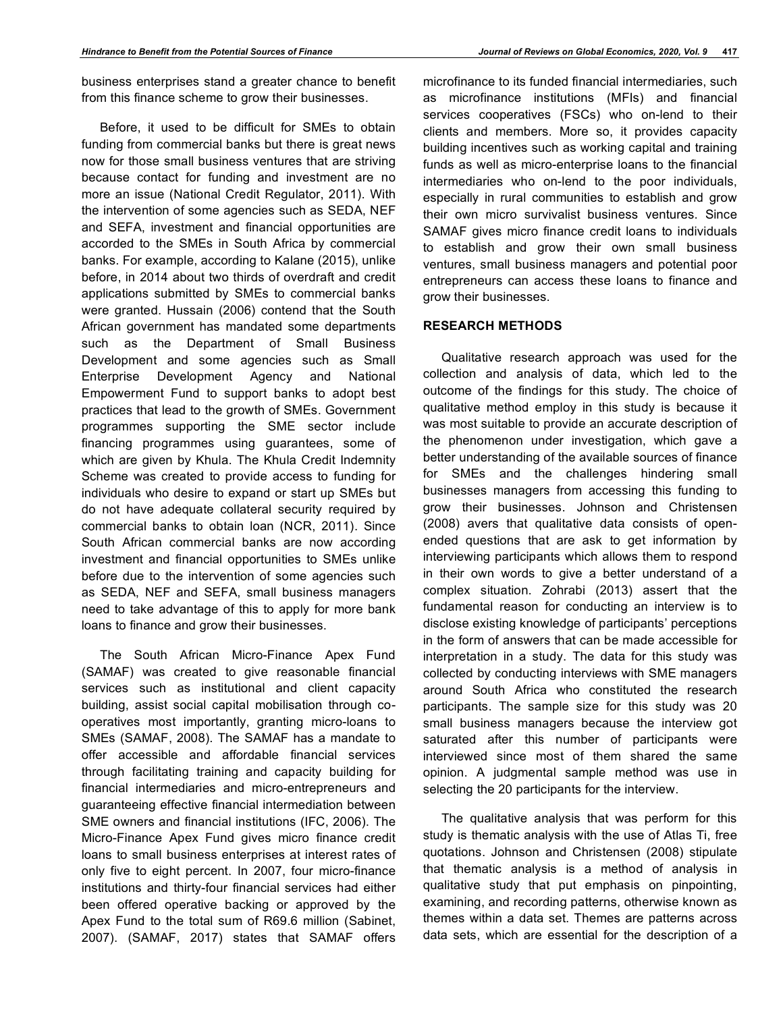business enterprises stand a greater chance to benefit from this finance scheme to grow their businesses.

Before, it used to be difficult for SMEs to obtain funding from commercial banks but there is great news now for those small business ventures that are striving because contact for funding and investment are no more an issue (National Credit Regulator, 2011). With the intervention of some agencies such as SEDA, NEF and SEFA, investment and financial opportunities are accorded to the SMEs in South Africa by commercial banks. For example, according to Kalane (2015), unlike before, in 2014 about two thirds of overdraft and credit applications submitted by SMEs to commercial banks were granted. Hussain (2006) contend that the South African government has mandated some departments such as the Department of Small Business Development and some agencies such as Small Enterprise Development Agency and National Empowerment Fund to support banks to adopt best practices that lead to the growth of SMEs. Government programmes supporting the SME sector include financing programmes using guarantees, some of which are given by Khula. The Khula Credit Indemnity Scheme was created to provide access to funding for individuals who desire to expand or start up SMEs but do not have adequate collateral security required by commercial banks to obtain loan (NCR, 2011). Since South African commercial banks are now according investment and financial opportunities to SMEs unlike before due to the intervention of some agencies such as SEDA, NEF and SEFA, small business managers need to take advantage of this to apply for more bank loans to finance and grow their businesses.

The South African Micro-Finance Apex Fund (SAMAF) was created to give reasonable financial services such as institutional and client capacity building, assist social capital mobilisation through cooperatives most importantly, granting micro-loans to SMEs (SAMAF, 2008). The SAMAF has a mandate to offer accessible and affordable financial services through facilitating training and capacity building for financial intermediaries and micro-entrepreneurs and guaranteeing effective financial intermediation between SME owners and financial institutions (IFC, 2006). The Micro-Finance Apex Fund gives micro finance credit loans to small business enterprises at interest rates of only five to eight percent. In 2007, four micro-finance institutions and thirty-four financial services had either been offered operative backing or approved by the Apex Fund to the total sum of R69.6 million (Sabinet, 2007). (SAMAF, 2017) states that SAMAF offers

microfinance to its funded financial intermediaries, such as microfinance institutions (MFIs) and financial services cooperatives (FSCs) who on-lend to their clients and members. More so, it provides capacity building incentives such as working capital and training funds as well as micro-enterprise loans to the financial intermediaries who on-lend to the poor individuals, especially in rural communities to establish and grow their own micro survivalist business ventures. Since SAMAF gives micro finance credit loans to individuals to establish and grow their own small business ventures, small business managers and potential poor entrepreneurs can access these loans to finance and grow their businesses.

## **RESEARCH METHODS**

Qualitative research approach was used for the collection and analysis of data, which led to the outcome of the findings for this study. The choice of qualitative method employ in this study is because it was most suitable to provide an accurate description of the phenomenon under investigation, which gave a better understanding of the available sources of finance for SMEs and the challenges hindering small businesses managers from accessing this funding to grow their businesses. Johnson and Christensen (2008) avers that qualitative data consists of openended questions that are ask to get information by interviewing participants which allows them to respond in their own words to give a better understand of a complex situation. Zohrabi (2013) assert that the fundamental reason for conducting an interview is to disclose existing knowledge of participants' perceptions in the form of answers that can be made accessible for interpretation in a study. The data for this study was collected by conducting interviews with SME managers around South Africa who constituted the research participants. The sample size for this study was 20 small business managers because the interview got saturated after this number of participants were interviewed since most of them shared the same opinion. A judgmental sample method was use in selecting the 20 participants for the interview.

The qualitative analysis that was perform for this study is thematic analysis with the use of Atlas Ti, free quotations. Johnson and Christensen (2008) stipulate that thematic analysis is a method of analysis in qualitative study that put emphasis on pinpointing, examining, and recording patterns, otherwise known as themes within a data set. Themes are patterns across data sets, which are essential for the description of a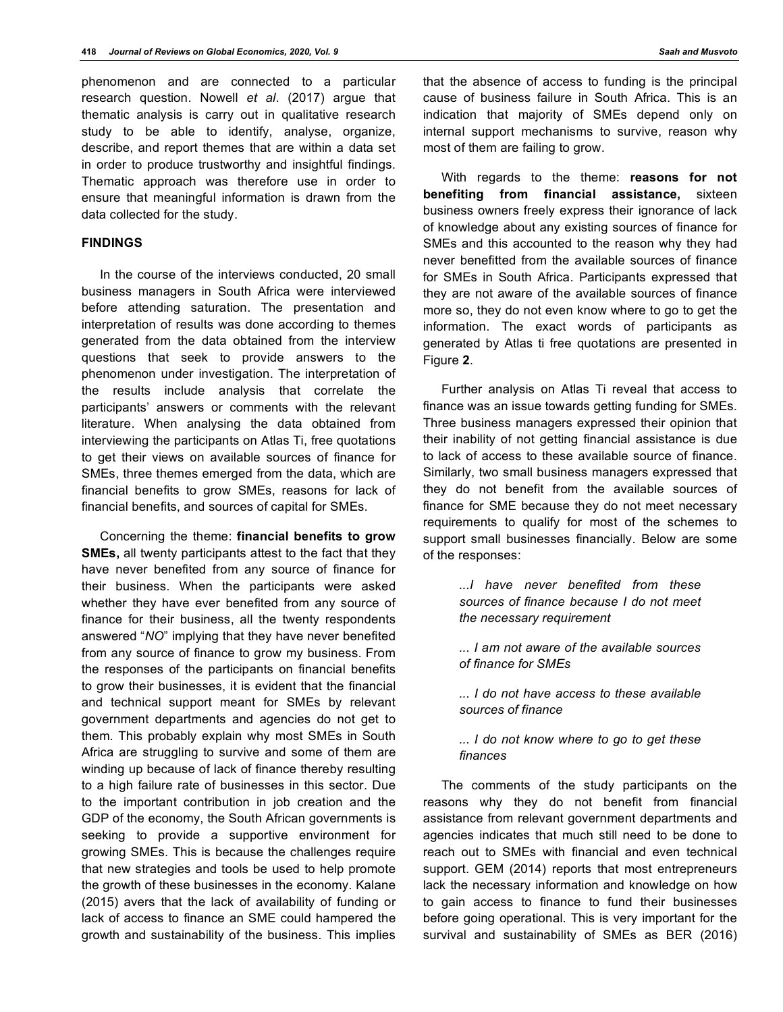phenomenon and are connected to a particular research question. Nowell *et al*. (2017) argue that thematic analysis is carry out in qualitative research study to be able to identify, analyse, organize, describe, and report themes that are within a data set in order to produce trustworthy and insightful findings. Thematic approach was therefore use in order to ensure that meaningful information is drawn from the data collected for the study.

## **FINDINGS**

In the course of the interviews conducted, 20 small business managers in South Africa were interviewed before attending saturation. The presentation and interpretation of results was done according to themes generated from the data obtained from the interview questions that seek to provide answers to the phenomenon under investigation. The interpretation of the results include analysis that correlate the participants' answers or comments with the relevant literature. When analysing the data obtained from interviewing the participants on Atlas Ti, free quotations to get their views on available sources of finance for SMEs, three themes emerged from the data, which are financial benefits to grow SMEs, reasons for lack of financial benefits, and sources of capital for SMEs.

Concerning the theme: **financial benefits to grow SMEs,** all twenty participants attest to the fact that they have never benefited from any source of finance for their business. When the participants were asked whether they have ever benefited from any source of finance for their business, all the twenty respondents answered "*NO*" implying that they have never benefited from any source of finance to grow my business. From the responses of the participants on financial benefits to grow their businesses, it is evident that the financial and technical support meant for SMEs by relevant government departments and agencies do not get to them. This probably explain why most SMEs in South Africa are struggling to survive and some of them are winding up because of lack of finance thereby resulting to a high failure rate of businesses in this sector. Due to the important contribution in job creation and the GDP of the economy, the South African governments is seeking to provide a supportive environment for growing SMEs. This is because the challenges require that new strategies and tools be used to help promote the growth of these businesses in the economy. Kalane (2015) avers that the lack of availability of funding or lack of access to finance an SME could hampered the growth and sustainability of the business. This implies

that the absence of access to funding is the principal cause of business failure in South Africa. This is an indication that majority of SMEs depend only on internal support mechanisms to survive, reason why most of them are failing to grow.

With regards to the theme: **reasons for not benefiting from financial assistance,** sixteen business owners freely express their ignorance of lack of knowledge about any existing sources of finance for SMEs and this accounted to the reason why they had never benefitted from the available sources of finance for SMEs in South Africa. Participants expressed that they are not aware of the available sources of finance more so, they do not even know where to go to get the information. The exact words of participants as generated by Atlas ti free quotations are presented in Figure **2**.

Further analysis on Atlas Ti reveal that access to finance was an issue towards getting funding for SMEs. Three business managers expressed their opinion that their inability of not getting financial assistance is due to lack of access to these available source of finance. Similarly, two small business managers expressed that they do not benefit from the available sources of finance for SME because they do not meet necessary requirements to qualify for most of the schemes to support small businesses financially. Below are some of the responses:

> *...I have never benefited from these sources of finance because I do not meet the necessary requirement*

*... I am not aware of the available sources of finance for SMEs*

*... I do not have access to these available sources of finance*

*... I do not know where to go to get these finances*

The comments of the study participants on the reasons why they do not benefit from financial assistance from relevant government departments and agencies indicates that much still need to be done to reach out to SMEs with financial and even technical support. GEM (2014) reports that most entrepreneurs lack the necessary information and knowledge on how to gain access to finance to fund their businesses before going operational. This is very important for the survival and sustainability of SMEs as BER (2016)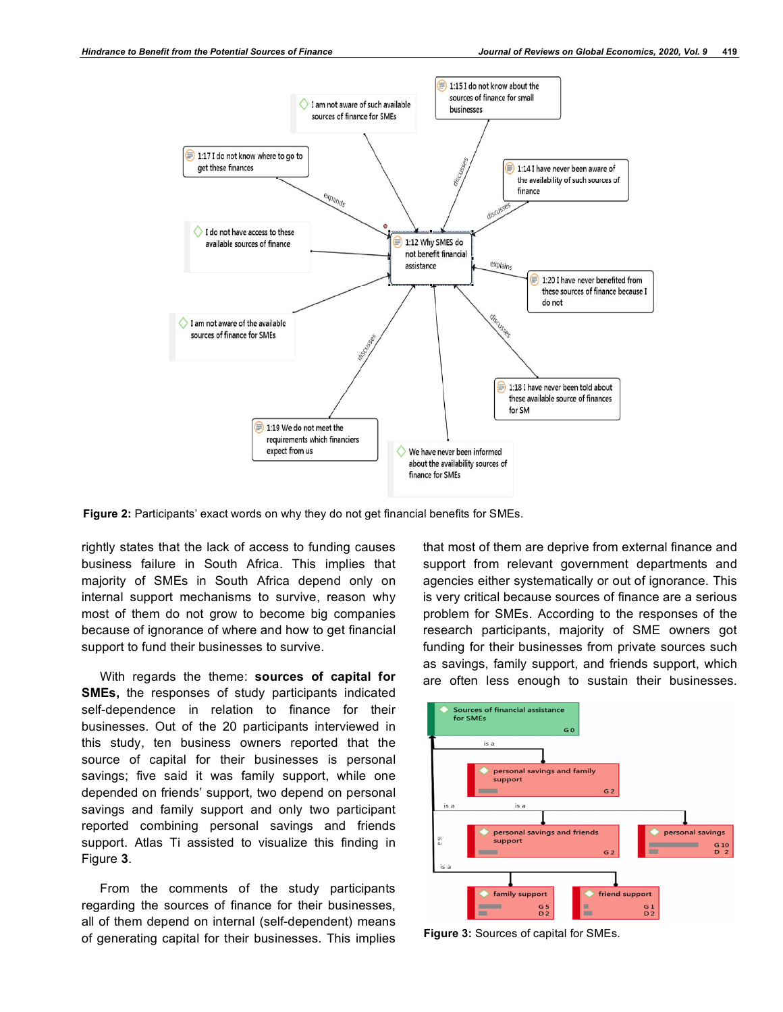

**Figure 2:** Participants' exact words on why they do not get financial benefits for SMEs.

rightly states that the lack of access to funding causes business failure in South Africa. This implies that majority of SMEs in South Africa depend only on internal support mechanisms to survive, reason why most of them do not grow to become big companies because of ignorance of where and how to get financial support to fund their businesses to survive.

With regards the theme: **sources of capital for SMEs,** the responses of study participants indicated self-dependence in relation to finance for their businesses. Out of the 20 participants interviewed in this study, ten business owners reported that the source of capital for their businesses is personal savings; five said it was family support, while one depended on friends' support, two depend on personal savings and family support and only two participant reported combining personal savings and friends support. Atlas Ti assisted to visualize this finding in Figure **3**.

From the comments of the study participants regarding the sources of finance for their businesses, all of them depend on internal (self-dependent) means of generating capital for their businesses. This implies

that most of them are deprive from external finance and support from relevant government departments and agencies either systematically or out of ignorance. This is very critical because sources of finance are a serious problem for SMEs. According to the responses of the research participants, majority of SME owners got funding for their businesses from private sources such as savings, family support, and friends support, which are often less enough to sustain their businesses.



**Figure 3:** Sources of capital for SMEs.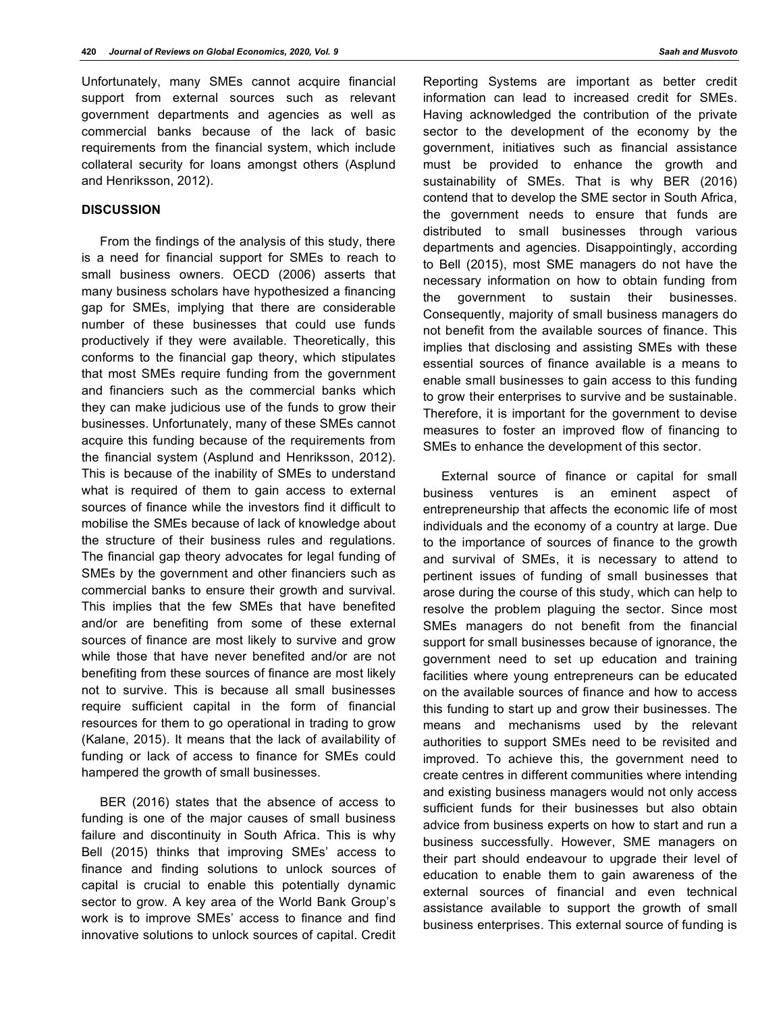Unfortunately, many SMEs cannot acquire financial support from external sources such as relevant government departments and agencies as well as commercial banks because of the lack of basic requirements from the financial system, which include collateral security for loans amongst others (Asplund and Henriksson, 2012).

## **DISCUSSION**

From the findings of the analysis of this study, there is a need for financial support for SMEs to reach to small business owners. OECD (2006) asserts that many business scholars have hypothesized a financing gap for SMEs, implying that there are considerable number of these businesses that could use funds productively if they were available. Theoretically, this conforms to the financial gap theory, which stipulates that most SMEs require funding from the government and financiers such as the commercial banks which they can make judicious use of the funds to grow their businesses. Unfortunately, many of these SMEs cannot acquire this funding because of the requirements from the financial system (Asplund and Henriksson, 2012). This is because of the inability of SMEs to understand what is required of them to gain access to external sources of finance while the investors find it difficult to mobilise the SMEs because of lack of knowledge about the structure of their business rules and regulations. The financial gap theory advocates for legal funding of SMEs by the government and other financiers such as commercial banks to ensure their growth and survival. This implies that the few SMEs that have benefited and/or are benefiting from some of these external sources of finance are most likely to survive and grow while those that have never benefited and/or are not benefiting from these sources of finance are most likely not to survive. This is because all small businesses require sufficient capital in the form of financial resources for them to go operational in trading to grow (Kalane, 2015). It means that the lack of availability of funding or lack of access to finance for SMEs could hampered the growth of small businesses.

BER (2016) states that the absence of access to funding is one of the major causes of small business failure and discontinuity in South Africa. This is why Bell (2015) thinks that improving SMEs' access to finance and finding solutions to unlock sources of capital is crucial to enable this potentially dynamic sector to grow. A key area of the World Bank Group's work is to improve SMEs' access to finance and find innovative solutions to unlock sources of capital. Credit Reporting Systems are important as better credit information can lead to increased credit for SMEs. Having acknowledged the contribution of the private sector to the development of the economy by the government, initiatives such as financial assistance must be provided to enhance the growth and sustainability of SMEs. That is why BER (2016) contend that to develop the SME sector in South Africa, the government needs to ensure that funds are distributed to small businesses through various departments and agencies. Disappointingly, according to Bell (2015), most SME managers do not have the necessary information on how to obtain funding from the government to sustain their businesses. Consequently, majority of small business managers do not benefit from the available sources of finance. This implies that disclosing and assisting SMEs with these essential sources of finance available is a means to enable small businesses to gain access to this funding to grow their enterprises to survive and be sustainable. Therefore, it is important for the government to devise measures to foster an improved flow of financing to SMEs to enhance the development of this sector.

External source of finance or capital for small business ventures is an eminent aspect of entrepreneurship that affects the economic life of most individuals and the economy of a country at large. Due to the importance of sources of finance to the growth and survival of SMEs, it is necessary to attend to pertinent issues of funding of small businesses that arose during the course of this study, which can help to resolve the problem plaguing the sector. Since most SMEs managers do not benefit from the financial support for small businesses because of ignorance, the government need to set up education and training facilities where young entrepreneurs can be educated on the available sources of finance and how to access this funding to start up and grow their businesses. The means and mechanisms used by the relevant authorities to support SMEs need to be revisited and improved. To achieve this, the government need to create centres in different communities where intending and existing business managers would not only access sufficient funds for their businesses but also obtain advice from business experts on how to start and run a business successfully. However, SME managers on their part should endeavour to upgrade their level of education to enable them to gain awareness of the external sources of financial and even technical assistance available to support the growth of small business enterprises. This external source of funding is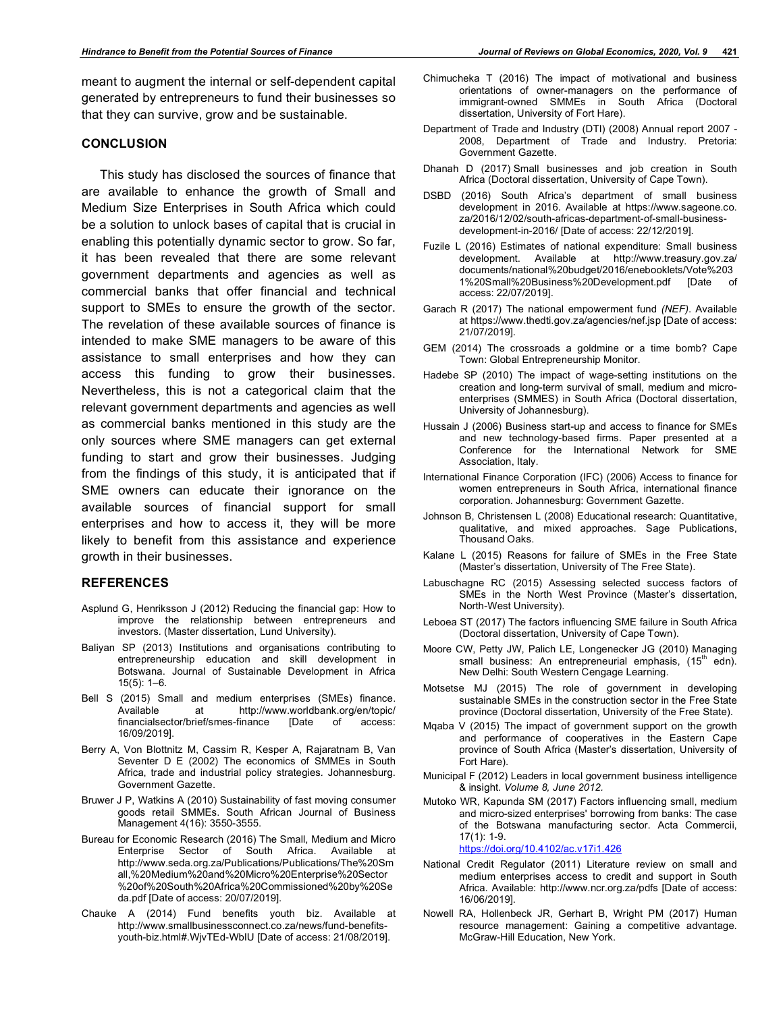meant to augment the internal or self-dependent capital generated by entrepreneurs to fund their businesses so that they can survive, grow and be sustainable.

#### **CONCLUSION**

This study has disclosed the sources of finance that are available to enhance the growth of Small and Medium Size Enterprises in South Africa which could be a solution to unlock bases of capital that is crucial in enabling this potentially dynamic sector to grow. So far, it has been revealed that there are some relevant government departments and agencies as well as commercial banks that offer financial and technical support to SMEs to ensure the growth of the sector. The revelation of these available sources of finance is intended to make SME managers to be aware of this assistance to small enterprises and how they can access this funding to grow their businesses. Nevertheless, this is not a categorical claim that the relevant government departments and agencies as well as commercial banks mentioned in this study are the only sources where SME managers can get external funding to start and grow their businesses. Judging from the findings of this study, it is anticipated that if SME owners can educate their ignorance on the available sources of financial support for small enterprises and how to access it, they will be more likely to benefit from this assistance and experience growth in their businesses.

#### **REFERENCES**

- Asplund G, Henriksson J (2012) Reducing the financial gap: How to improve the relationship between entrepreneurs and investors*.* (Master dissertation, Lund University).
- Baliyan SP (2013) Institutions and organisations contributing to entrepreneurship education and skill development in Botswana. Journal of Sustainable Development in Africa 15(5): 1–6.
- Bell S (2015) Small and medium enterprises (SMEs) finance. Available at http://www.worldbank.org/en/topic/ financialsector/brief/smes-finance [Date of access: 16/09/2019].
- Berry A, Von Blottnitz M, Cassim R, Kesper A, Rajaratnam B, Van Seventer D E (2002) The economics of SMMEs in South Africa, trade and industrial policy strategies*.* Johannesburg. Government Gazette.
- Bruwer J P, Watkins A (2010) Sustainability of fast moving consumer goods retail SMMEs. South African Journal of Business Management 4(16): 3550-3555.
- Bureau for Economic Research (2016) The Small, Medium and Micro Enterprise Sector of South Africa. Available at http://www.seda.org.za/Publications/Publications/The%20Sm all,%20Medium%20and%20Micro%20Enterprise%20Sector %20of%20South%20Africa%20Commissioned%20by%20Se da.pdf [Date of access: 20/07/2019].
- Chauke A (2014) Fund benefits youth biz. Available at http://www.smallbusinessconnect.co.za/news/fund-benefitsyouth-biz.html#.WjvTEd-WbIU [Date of access: 21/08/2019].
- Chimucheka T (2016) The impact of motivational and business orientations of owner-managers on the performance of immigrant-owned SMMEs in South Africa (Doctoral dissertation, University of Fort Hare).
- Department of Trade and Industry (DTI) (2008) Annual report 2007 2008, Department of Trade and Industry*.* Pretoria: Government Gazette.
- Dhanah D (2017) Small businesses and job creation in South Africa (Doctoral dissertation, University of Cape Town).
- DSBD (2016) South Africa's department of small business development in 2016. Available at https://www.sageone.co. za/2016/12/02/south-africas-department-of-small-businessdevelopment-in-2016/ [Date of access: 22/12/2019].
- Fuzile L (2016) Estimates of national expenditure: Small business development. Available at http://www.treasury.gov.za/ documents/national%20budget/2016/enebooklets/Vote%203 1%20Small%20Business%20Development.pdf [Date of access: 22/07/2019].
- Garach R (2017) The national empowerment fund *(NEF)*. Available at https://www.thedti.gov.za/agencies/nef.jsp [Date of access: 21/07/2019].
- GEM (2014) The crossroads a goldmine or a time bomb? Cape Town: Global Entrepreneurship Monitor.
- Hadebe SP (2010) The impact of wage-setting institutions on the creation and long-term survival of small, medium and microenterprises (SMMES) in South Africa (Doctoral dissertation, University of Johannesburg).
- Hussain J (2006) Business start-up and access to finance for SMEs and new technology-based firms. Paper presented at a Conference for the International Network for SME Association, Italy.
- International Finance Corporation (IFC) (2006) Access to finance for women entrepreneurs in South Africa, international finance corporation. Johannesburg: Government Gazette.
- Johnson B, Christensen L (2008) Educational research: Quantitative, qualitative, and mixed approaches. Sage Publications, Thousand Oaks.
- Kalane L (2015) Reasons for failure of SMEs in the Free State (Master's dissertation, University of The Free State).
- Labuschagne RC (2015) Assessing selected success factors of SMEs in the North West Province (Master's dissertation, North-West University).
- Leboea ST (2017) The factors influencing SME failure in South Africa (Doctoral dissertation, University of Cape Town).
- Moore CW, Petty JW, Palich LE, Longenecker JG (2010) Managing small business: An entrepreneurial emphasis, (15<sup>th</sup> edn). New Delhi: South Western Cengage Learning.
- Motsetse MJ (2015) The role of government in developing sustainable SMEs in the construction sector in the Free State province (Doctoral dissertation, University of the Free State).
- Mqaba V (2015) The impact of government support on the growth and performance of cooperatives in the Eastern Cape province of South Africa (Master's dissertation, University of Fort Hare).
- Municipal F (2012) Leaders in local government business intelligence & insight. *Volume 8, June 2012.*
- Mutoko WR, Kapunda SM (2017) Factors influencing small, medium and micro-sized enterprises' borrowing from banks: The case of the Botswana manufacturing sector. Acta Commercii, 17(1): 1-9.

https://doi.org/10.4102/ac.v17i1.426

- National Credit Regulator (2011) Literature review on small and medium enterprises access to credit and support in South Africa. Available: http://www.ncr.org.za/pdfs [Date of access: 16/06/2019].
- Nowell RA, Hollenbeck JR, Gerhart B, Wright PM (2017) Human resource management: Gaining a competitive advantage. McGraw-Hill Education, New York.